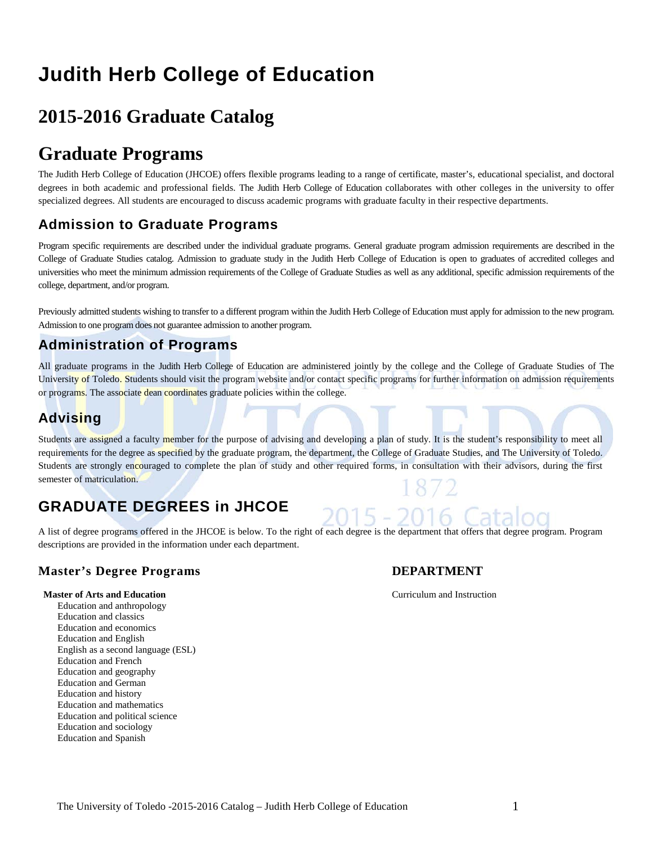# **Judith Herb College of Education**

## **2015-2016 Graduate Catalog**

## **Graduate Programs**

The Judith Herb College of Education (JHCOE) offers flexible programs leading to a range of certificate, master's, educational specialist, and doctoral degrees in both academic and professional fields. The Judith Herb College of Education collaborates with other colleges in the university to offer specialized degrees. All students are encouraged to discuss academic programs with graduate faculty in their respective departments.

## **Admission to Graduate Programs**

Program specific requirements are described under the individual graduate programs. General graduate program admission requirements are described in the College of Graduate Studies catalog. Admission to graduate study in the Judith Herb College of Education is open to graduates of accredited colleges and universities who meet the minimum admission requirements of the College of Graduate Studies as well as any additional, specific admission requirements of the college, department, and/or program.

Previously admitted students wishing to transfer to a different program within the Judith Herb College of Education must apply for admission to the new program. Admission to one program does not guarantee admission to another program.

## **Administration of Programs**

All graduate programs in the Judith Herb College of Education are administered jointly by the college and the College of Graduate Studies of The University of Toledo. Students should visit the program website and/or contact specific programs for further information on admission requirements or programs. The associate dean coordinates graduate policies within the college.

## **Advising**

Students are assigned a faculty member for the purpose of advising and developing a plan of study. It is the student's responsibility to meet all requirements for the degree as specified by the graduate program, the department, the College of Graduate Studies, and The University of Toledo. Students are strongly encouraged to complete the plan of study and other required forms, in consultation with their advisors, during the first semester of matriculation.

## **GRADUATE DEGREES in JHCOE**

A list of degree programs offered in the JHCOE is below. To the right of each degree is the department that offers that degree program. Program descriptions are provided in the information under each department.

## **Master's Degree Programs DEPARTMENT**

#### **Master of Arts and Education** Curriculum and Instruction

Education and anthropology Education and classics Education and economics Education and English English as a second language (ESL) Education and French Education and geography Education and German Education and history Education and mathematics Education and political science Education and sociology Education and Spanish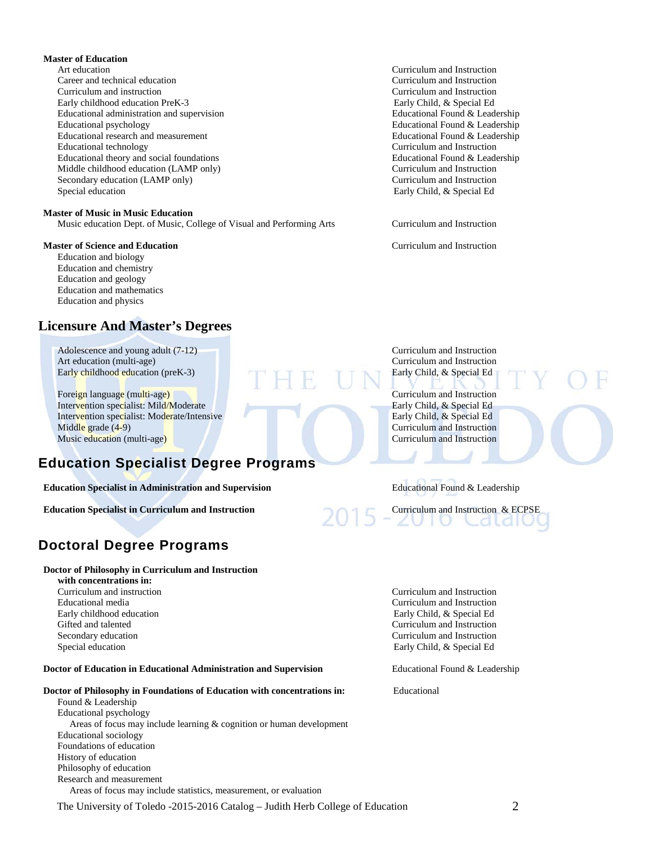#### **Master of Education**

Art education Curriculum and Instruction Career and technical education Curriculum and Instruction Curriculum and instruction Curriculum and Instruction Early childhood education PreK-3 Early Child, & Special Ed Educational administration and supervision Educational Found & Leadership Educational psychology Educational Found & Leadership Educational research and measurement<br>
Educational Educational Found & Leadership<br>
Educational technology<br>
Curriculum and Instruction Educational theory and social foundations<br>
Middle childhood education (LAMP only)<br>
Curriculum and Instruction Middle childhood education (LAMP only) Secondary education (LAMP only) Curriculum and Instruction Special education Early Child, & Special Education Early Child, & Special Education

#### **Master of Music in Music Education**

Music education Dept. of Music, College of Visual and Performing Arts Curriculum and Instruction

#### **Master of Science and Education Curriculum and Instruction**

Education and biology Education and chemistry Education and geology Education and mathematics Education and physics

## **Licensure And Master's Degrees**

Adolescence and young adult (7-12) Curriculum and Instruction Art education (multi-age)<br> **Art education (multi-age)** Curriculum and Instruction<br> **Art education (mex-3)** Curriculum and Instruction<br> **Curriculum and Instruction** Early childhood education (preK-3)

Foreign language (multi-age) Curriculum and Instruction<br>
Intervention specialist: Mild/Moderate Curriculum and Instruction<br>
Early Child, & Special Ed Intervention specialist: Mild/Moderate Early Child, & Special Ed<br>Intervention specialist: Moderate/Intensive Early Child, & Special Ed Intervention specialist: Moderate/Intensive Middle grade (4-9) Curriculum and Instruction Music education (multi-age) **Curriculum and Instruction** Curriculum and Instruction

## **Education Specialist Degree Programs**

**Education Specialist in Administration and Supervision** Educational Found & Leadership

**Education Specialist in Curriculum and Instruction** Curriculum and Instruction & ECPSE

## **Doctoral Degree Programs**

#### **Doctor of Philosophy in Curriculum and Instruction**

 **with concentrations in:** Gifted and talented Curriculum and Instruction Secondary education Curriculum and Instruction Special education Early Child, & Special Education Early Child, & Special Education

#### **Doctor of Education in Educational Administration and Supervision** Educational Found & Leadership

#### **Doctor of Philosophy in Foundations of Education with concentrations in:** Educational

Found & Leadership Educational psychology Areas of focus may include learning & cognition or human development Educational sociology Foundations of education History of education Philosophy of education Research and measurement

Areas of focus may include statistics, measurement, or evaluation

The University of Toledo -2015-2016 Catalog – Judith Herb College of Education 2

Curriculum and Instruction<br>Educational Found & Leadership

Curriculum and instruction Curriculum and Instruction Educational media Curriculum and Instruction Early childhood education Early Child, & Special Ed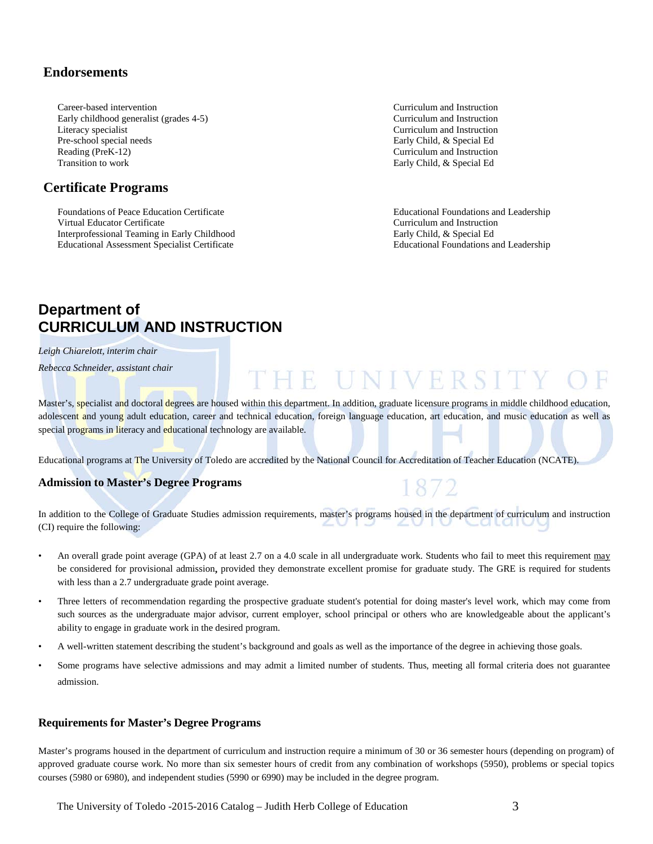## **Endorsements**

Career-based intervention Curriculum and Instruction Early childhood generalist (grades 4-5) Curriculum and Instruction Literacy specialist Curriculum and Instruction Pre-school special needs Early Child, & Special Ed Reading (PreK-12) Curriculum and Instruction Transition to work **Early Child, & Special Ed** 

## **Certificate Programs**

Foundations of Peace Education Certificate Educational Foundations and Leadership Virtual Educator Certificate Curriculum and Instruction Interprofessional Teaming in Early Childhood<br>
Educational Assessment Specialist Certificate<br>
Educational Foundations and Leadership Educational Assessment Specialist Certificate

## **Department of CURRICULUM AND INSTRUCTION**

*Leigh Chiarelott, interim chair*

*Rebecca Schneider, assistant chair*

Master's, specialist and doctoral degrees are housed within this department. In addition, graduate licensure programs in middle childhood education, adolescent and young adult education, career and technical education, foreign language education, art education, and music education as well as special programs in literacy and educational technology are available.

THE UNIVERSI

872

Educational programs at The University of Toledo are accredited by the National Council for Accreditation of Teacher Education (NCATE).

## **Admission to Master's Degree Programs**

In addition to the College of Graduate Studies admission requirements, master's programs housed in the department of curriculum and instruction (CI) require the following:

- An overall grade point average (GPA) of at least 2.7 on a 4.0 scale in all undergraduate work. Students who fail to meet this requirement may be considered for provisional admission**,** provided they demonstrate excellent promise for graduate study. The GRE is required for students with less than a 2.7 undergraduate grade point average.
- Three letters of recommendation regarding the prospective graduate student's potential for doing master's level work, which may come from such sources as the undergraduate major advisor, current employer, school principal or others who are knowledgeable about the applicant's ability to engage in graduate work in the desired program.
- A well-written statement describing the student's background and goals as well as the importance of the degree in achieving those goals.
- Some programs have selective admissions and may admit a limited number of students. Thus, meeting all formal criteria does not guarantee admission.

#### **Requirements for Master's Degree Programs**

Master's programs housed in the department of curriculum and instruction require a minimum of 30 or 36 semester hours (depending on program) of approved graduate course work. No more than six semester hours of credit from any combination of workshops (5950), problems or special topics courses (5980 or 6980), and independent studies (5990 or 6990) may be included in the degree program.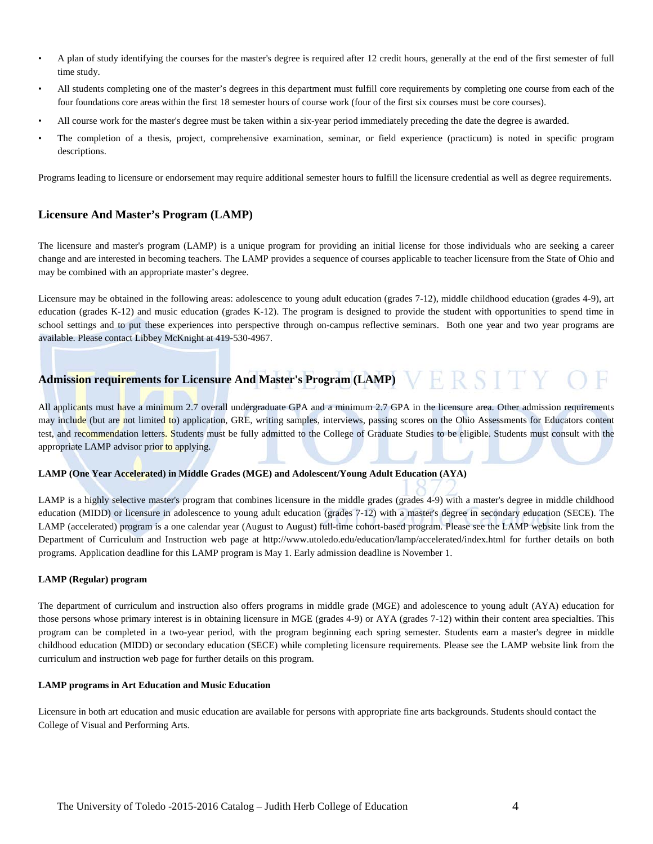- A plan of study identifying the courses for the master's degree is required after 12 credit hours, generally at the end of the first semester of full time study.
- All students completing one of the master's degrees in this department must fulfill core requirements by completing one course from each of the four foundations core areas within the first 18 semester hours of course work (four of the first six courses must be core courses).
- All course work for the master's degree must be taken within a six-year period immediately preceding the date the degree is awarded.
- The completion of a thesis, project, comprehensive examination, seminar, or field experience (practicum) is noted in specific program descriptions.

Programs leading to licensure or endorsement may require additional semester hours to fulfill the licensure credential as well as degree requirements.

### **Licensure And Master's Program (LAMP)**

The licensure and master's program (LAMP) is a unique program for providing an initial license for those individuals who are seeking a career change and are interested in becoming teachers. The LAMP provides a sequence of courses applicable to teacher licensure from the State of Ohio and may be combined with an appropriate master's degree.

Licensure may be obtained in the following areas: adolescence to young adult education (grades 7-12), middle childhood education (grades 4-9), art education (grades K-12) and music education (grades K-12). The program is designed to provide the student with opportunities to spend time in school settings and to put these experiences into perspective through on-campus reflective seminars. Both one year and two year programs are available. Please contact Libbey McKnight at 419-530-4967.

## **Admission requirements for Licensure And Master's Program (LAMP)**

All applicants must have a minimum 2.7 overall undergraduate GPA and a minimum 2.7 GPA in the licensure area. Other admission requirements may include (but are not limited to) application, GRE, writing samples, interviews, passing scores on the Ohio Assessments for Educators content test, and recommendation letters. Students must be fully admitted to the College of Graduate Studies to be eligible. Students must consult with the appropriate LAMP advisor prior to applying.

#### **LAMP (One Year Accelerated) in Middle Grades (MGE) and Adolescent/Young Adult Education (AYA)**

LAMP is a highly selective master's program that combines licensure in the middle grades (grades 4-9) with a master's degree in middle childhood education (MIDD) or licensure in adolescence to young adult education (grades 7-12) with a master's degree in secondary education (SECE). The LAMP (accelerated) program is a one calendar year (August to August) full-time cohort-based program. Please see the LAMP website link from the Department of Curriculum and Instruction web page at<http://www.utoledo.edu/education/lamp/accelerated/index.html> for further details on both programs. Application deadline for this LAMP program is May 1. Early admission deadline is November 1.

#### **LAMP (Regular) program**

The department of curriculum and instruction also offers programs in middle grade (MGE) and adolescence to young adult (AYA) education for those persons whose primary interest is in obtaining licensure in MGE (grades 4-9) or AYA (grades 7-12) within their content area specialties. This program can be completed in a two-year period, with the program beginning each spring semester. Students earn a master's degree in middle childhood education (MIDD) or secondary education (SECE) while completing licensure requirements. Please see the LAMP website link from the curriculum and instruction web page for further details on this program.

#### **LAMP programs in Art Education and Music Education**

Licensure in both art education and music education are available for persons with appropriate fine arts backgrounds. Students should contact the College of Visual and Performing Arts.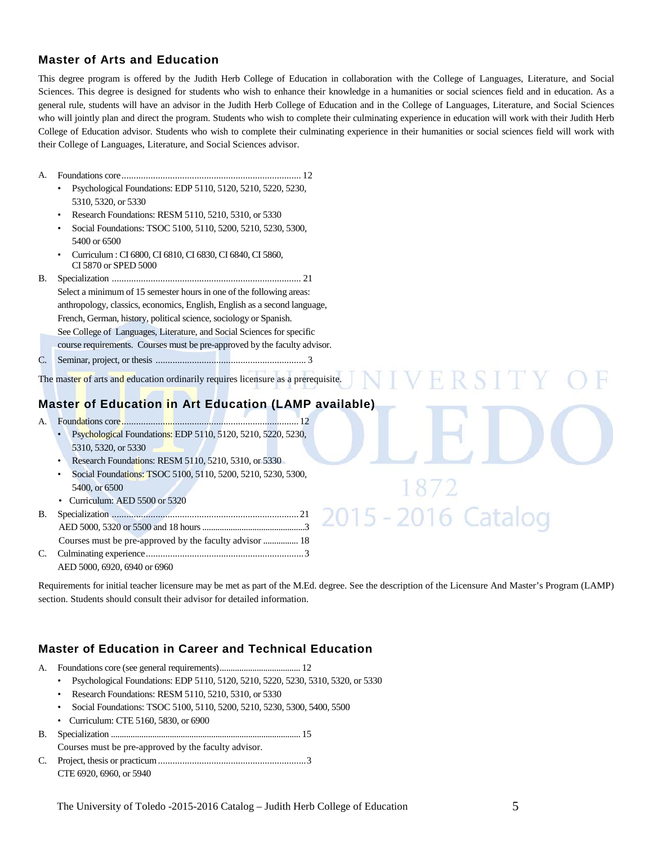## **Master of Arts and Education**

This degree program is offered by the Judith Herb College of Education in collaboration with the College of Languages, Literature, and Social Sciences. This degree is designed for students who wish to enhance their knowledge in a humanities or social sciences field and in education. As a general rule, students will have an advisor in the Judith Herb College of Education and in the College of Languages, Literature, and Social Sciences who will jointly plan and direct the program. Students who wish to complete their culminating experience in education will work with their Judith Herb College of Education advisor. Students who wish to complete their culminating experience in their humanities or social sciences field will work with their College of Languages, Literature, and Social Sciences advisor.

- A. Foundations core.......................................................................... 12
	- Psychological Foundations: EDP 5110, 5120, 5210, 5220, 5230, 5310, 5320, or 5330
	- Research Foundations: RESM 5110, 5210, 5310, or 5330
	- Social Foundations: TSOC 5100, 5110, 5200, 5210, 5230, 5300, 5400 or 6500
	- Curriculum : CI 6800, CI 6810, CI 6830, CI 6840, CI 5860, CI 5870 or SPED 5000
- B. Specialization .............................................................................. 21 Select a minimum of 15 semester hours in one of the following areas: anthropology, classics, economics, English, English as a second language, French, German, history, political science, sociology or Spanish. See College of Languages, Literature, and Social Sciences for specific
	- course requirements. Courses must be pre-approved by the faculty advisor.
- C. Seminar, project, or thesis .............................................................. 3

The master of arts and education ordinarily requires licensure as a prerequisite.

## **Master of Education in Art Education (LAMP available)**

- A. Foundations core......................................................................... 12
	- Psychological Foundations: EDP 5110, 5120, 5210, 5220, 5230, 5310, 5320, or 5330
	- Research Foundations: RESM 5110, 5210, 5310, or 5330
	- Social Foundations: TSOC 5100, 5110, 5200, 5210, 5230, 5300, 5400, or 6500
	- Curriculum: AED 5500 or 5320
- B. Specialization ............................................................................. 21 AED 5000, 5320 or 5500 and 18 hours...............................................3 Courses must be pre-approved by the faculty advisor ................ 18 C. Culminating experience.................................................................3 AED 5000, 6920, 6940 or 6960

Requirements for initial teacher licensure may be met as part of the M.Ed. degree. See the description of the Licensure And Master's Program (LAMP) section. Students should consult their advisor for detailed information.

2015 - 2016 Catalog

## **Master of Education in Career and Technical Education**

- A. Foundations core (see general requirements)..................................... 12
	- Psychological Foundations: EDP 5110, 5120, 5210, 5220, 5230, 5310, 5320, or 5330
	- Research Foundations: RESM 5110, 5210, 5310, or 5330
	- Social Foundations: TSOC 5100, 5110, 5200, 5210, 5230, 5300, 5400, 5500
	- Curriculum: CTE 5160, 5830, or 6900
- B. Specialization ....................................................................................... 15 Courses must be pre-approved by the faculty advisor. C. Project, thesis or practicum.............................................................3
	- CTE 6920, 6960, or 5940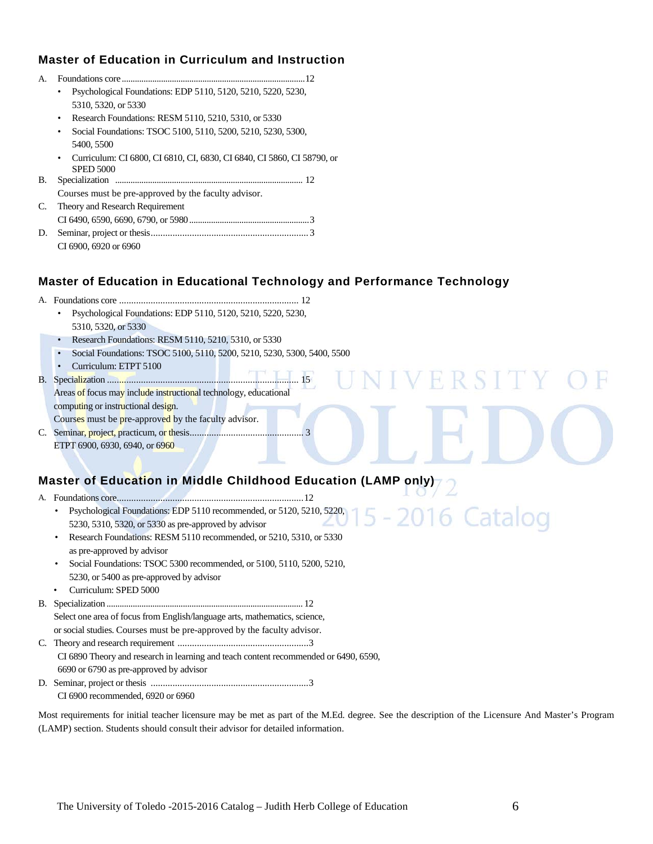## **Master of Education in Curriculum and Instruction**

| $\mathbf{A}$ . |                                                                           |  |  |  |  |  |  |  |  |
|----------------|---------------------------------------------------------------------------|--|--|--|--|--|--|--|--|
|                | Psychological Foundations: EDP 5110, 5120, 5210, 5220, 5230,<br>٠         |  |  |  |  |  |  |  |  |
|                | 5310, 5320, or 5330                                                       |  |  |  |  |  |  |  |  |
|                | Research Foundations: RESM 5110, 5210, 5310, or 5330                      |  |  |  |  |  |  |  |  |
|                | Social Foundations: TSOC 5100, 5110, 5200, 5210, 5230, 5300,<br>$\bullet$ |  |  |  |  |  |  |  |  |
|                | 5400, 5500                                                                |  |  |  |  |  |  |  |  |
|                | Curriculum: CI 6800, CI 6810, CI, 6830, CI 6840, CI 5860, CI 58790, or    |  |  |  |  |  |  |  |  |
|                | <b>SPED 5000</b>                                                          |  |  |  |  |  |  |  |  |
| В.             | Specialization                                                            |  |  |  |  |  |  |  |  |
|                | Courses must be pre-approved by the faculty advisor.                      |  |  |  |  |  |  |  |  |
| C.             | Theory and Research Requirement                                           |  |  |  |  |  |  |  |  |
|                |                                                                           |  |  |  |  |  |  |  |  |
| D.             |                                                                           |  |  |  |  |  |  |  |  |
|                | CI 6900, 6920 or 6960                                                     |  |  |  |  |  |  |  |  |
|                |                                                                           |  |  |  |  |  |  |  |  |

## **Master of Education in Educational Technology and Performance Technology**

- A. Foundations core .......................................................................... 12
	- Psychological Foundations: EDP 5110, 5120, 5210, 5220, 5230, 5310, 5320, or 5330
	- Research Foundations: RESM 5110, 5210, 5310, or 5330
	- Social Foundations: TSOC 5100, 5110, 5200, 5210, 5230, 5300, 5400, 5500
- Curriculum: ETPT 5100

 $FT$ B. Specialization ............................................................................... 15 Areas of focus may include instructional technology, educational computing or instructional design.

Courses must be pre-approved by the faculty advisor. C. Seminar, project, practicum, or thesis............................................... 3

ETPT 6900, 6930, 6940, or 6960

## **Master of Education in Middle Childhood Education (LAMP only)**

A. Foundations core.............................................................................12

- Psychological Foundations: EDP 5110 recommended, or 5120, 5210, 5220, 5230, 5310, 5320, or 5330 as pre-approved by advisor
- Research Foundations: RESM 5110 recommended, or 5210, 5310, or 5330 as pre-approved by advisor
- Social Foundations: TSOC 5300 recommended, or 5100, 5110, 5200, 5210, 5230, or 5400 as pre-approved by advisor
- Curriculum: SPED 5000

B. Specialization .......................................................................................... 12

Select one area of focus from English/language arts, mathematics, science, or social studies. Courses must be pre-approved by the faculty advisor.

C. Theory and research requirement ......................................................3 CI 6890 Theory and research in learning and teach content recommended or 6490, 6590, 6690 or 6790 as pre-approved by advisor

D. Seminar, project or thesis .................................................................3

CI 6900 recommended, 6920 or 6960

Most requirements for initial teacher licensure may be met as part of the M.Ed. degree. See the description of the Licensure And Master's Program (LAMP) section. Students should consult their advisor for detailed information.

FRS 1

16 Catalog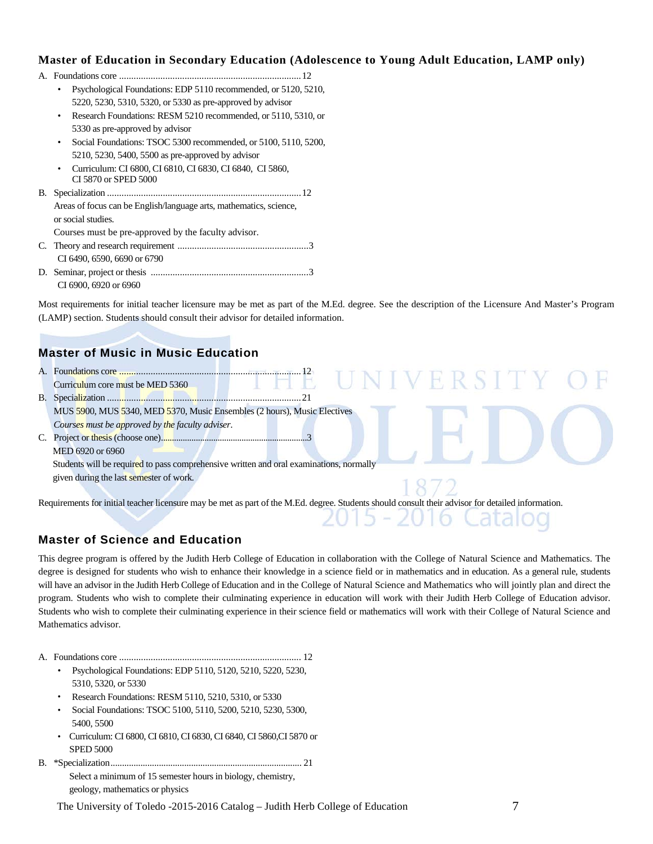## **Master of Education in Secondary Education (Adolescence to Young Adult Education, LAMP only)**

|    | Psychological Foundations: EDP 5110 recommended, or 5120, 5210,             |
|----|-----------------------------------------------------------------------------|
|    | 5220, 5230, 5310, 5320, or 5330 as pre-approved by advisor                  |
|    | Research Foundations: RESM 5210 recommended, or 5110, 5310, or<br>$\bullet$ |
|    | 5330 as pre-approved by advisor                                             |
|    | Social Foundations: TSOC 5300 recommended, or 5100, 5110, 5200,             |
|    | 5210, 5230, 5400, 5500 as pre-approved by advisor                           |
|    | Curriculum: CI 6800, CI 6810, CI 6830, CI 6840, CI 5860,                    |
|    | CI 5870 or SPED 5000                                                        |
| В. |                                                                             |
|    | Areas of focus can be English/language arts, mathematics, science,          |
|    | or social studies.                                                          |
|    | Courses must be pre-approved by the faculty advisor.                        |
|    |                                                                             |
|    | CI 6490, 6590, 6690 or 6790                                                 |
|    |                                                                             |
|    | CI 6900, 6920 or 6960                                                       |

Most requirements for initial teacher licensure may be met as part of the M.Ed. degree. See the description of the Licensure And Master's Program (LAMP) section. Students should consult their advisor for detailed information.

## **Master of Music in Music Education**

| 'ERSIIN<br>Curriculum core must be MED 5360                                             |  |
|-----------------------------------------------------------------------------------------|--|
|                                                                                         |  |
| MUS 5900, MUS 5340, MED 5370, Music Ensembles (2 hours), Music Electives                |  |
| Courses must be approved by the faculty adviser.                                        |  |
|                                                                                         |  |
| MED 6920 or 6960                                                                        |  |
| Students will be required to pass comprehensive written and oral examinations, normally |  |
| given during the last semester of work.                                                 |  |
|                                                                                         |  |

Requirements for initial teacher licensure may be met as part of the M.Ed. degree. Students should consult their advisor for detailed information.

## **Master of Science and Education**

This degree program is offered by the Judith Herb College of Education in collaboration with the College of Natural Science and Mathematics. The degree is designed for students who wish to enhance their knowledge in a science field or in mathematics and in education. As a general rule, students will have an advisor in the Judith Herb College of Education and in the College of Natural Science and Mathematics who will jointly plan and direct the program. Students who wish to complete their culminating experience in education will work with their Judith Herb College of Education advisor. Students who wish to complete their culminating experience in their science field or mathematics will work with their College of Natural Science and Mathematics advisor.

- A. Foundations core ........................................................................... 12
	- Psychological Foundations: EDP 5110, 5120, 5210, 5220, 5230, 5310, 5320, or 5330
	- Research Foundations: RESM 5110, 5210, 5310, or 5330
	- Social Foundations: TSOC 5100, 5110, 5200, 5210, 5230, 5300, 5400, 5500
	- Curriculum: CI 6800, CI 6810, CI 6830, CI 6840, CI 5860,CI 5870 or SPED 5000
- B. \*Specialization................................................................................... 21 Select a minimum of 15 semester hours in biology, chemistry, geology, mathematics or physics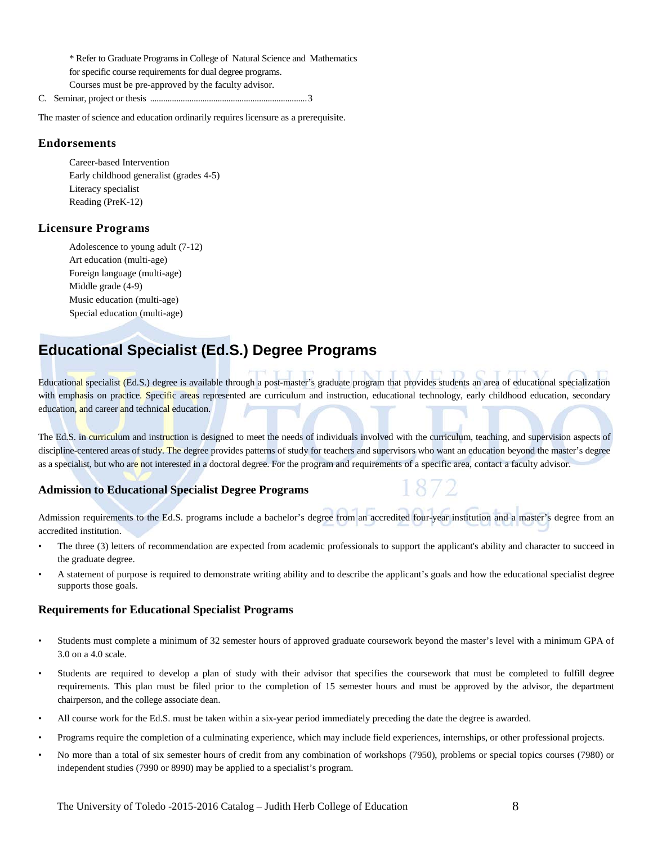\* Refer to Graduate Programs in College of Natural Science and Mathematics for specific course requirements for dual degree programs. Courses must be pre-approved by the faculty advisor.

C. Seminar, project or thesis ........................................................................3

The master of science and education ordinarily requires licensure as a prerequisite.

#### **Endorsements**

Career-based Intervention Early childhood generalist (grades 4-5) Literacy specialist Reading (PreK-12)

#### **Licensure Programs**

Adolescence to young adult (7-12) Art education (multi-age) Foreign language (multi-age) Middle grade (4-9) Music education (multi-age) Special education (multi-age)

## **Educational Specialist (Ed.S.) Degree Programs**

Educational specialist (Ed.S.) degree is available through a post-master's graduate program that provides students an area of educational specialization with emphasis on practice. Specific areas represented are curriculum and instruction, educational technology, early childhood education, secondary education, and career and technical education.

The Ed.S. in curriculum and instruction is designed to meet the needs of individuals involved with the curriculum, teaching, and supervision aspects of discipline-centered areas of study. The degree provides patterns of study for teachers and supervisors who want an education beyond the master's degree as a specialist, but who are not interested in a doctoral degree. For the program and requirements of a specific area, contact a faculty advisor.

### **Admission to Educational Specialist Degree Programs**

Admission requirements to the Ed.S. programs include a bachelor's degree from an accredited four-year institution and a master's degree from an accredited institution.

- The three (3) letters of recommendation are expected from academic professionals to support the applicant's ability and character to succeed in the graduate degree.
- A statement of purpose is required to demonstrate writing ability and to describe the applicant's goals and how the educational specialist degree supports those goals.

#### **Requirements for Educational Specialist Programs**

- Students must complete a minimum of 32 semester hours of approved graduate coursework beyond the master's level with a minimum GPA of 3.0 on a 4.0 scale.
- Students are required to develop a plan of study with their advisor that specifies the coursework that must be completed to fulfill degree requirements. This plan must be filed prior to the completion of 15 semester hours and must be approved by the advisor, the department chairperson, and the college associate dean.
- All course work for the Ed.S. must be taken within a six-year period immediately preceding the date the degree is awarded.
- Programs require the completion of a culminating experience, which may include field experiences, internships, or other professional projects.
- No more than a total of six semester hours of credit from any combination of workshops (7950), problems or special topics courses (7980) or independent studies (7990 or 8990) may be applied to a specialist's program.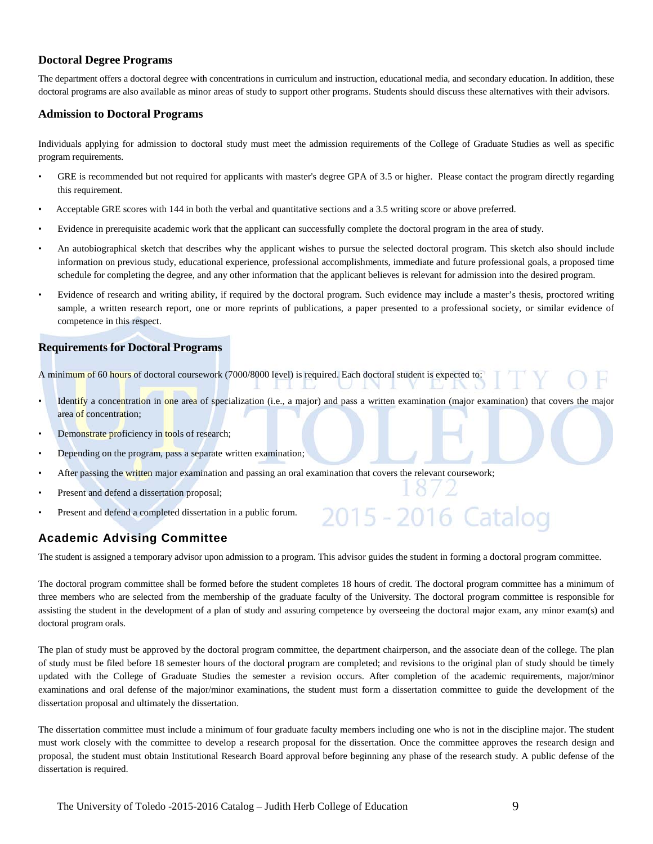#### **Doctoral Degree Programs**

The department offers a doctoral degree with concentrations in curriculum and instruction, educational media, and secondary education. In addition, these doctoral programs are also available as minor areas of study to support other programs. Students should discuss these alternatives with their advisors.

#### **Admission to Doctoral Programs**

Individuals applying for admission to doctoral study must meet the admission requirements of the College of Graduate Studies as well as specific program requirements.

- GRE is recommended but not required for applicants with master's degree GPA of 3.5 or higher. Please contact the program directly regarding this requirement.
- Acceptable GRE scores with 144 in both the verbal and quantitative sections and a 3.5 writing score or above preferred.
- Evidence in prerequisite academic work that the applicant can successfully complete the doctoral program in the area of study.
- An autobiographical sketch that describes why the applicant wishes to pursue the selected doctoral program. This sketch also should include information on previous study, educational experience, professional accomplishments, immediate and future professional goals, a proposed time schedule for completing the degree, and any other information that the applicant believes is relevant for admission into the desired program.
- Evidence of research and writing ability, if required by the doctoral program. Such evidence may include a master's thesis, proctored writing sample, a written research report, one or more reprints of publications, a paper presented to a professional society, or similar evidence of competence in this respect.

#### **Requirements for Doctoral Programs**

A minimum of 60 hours of doctoral coursework (7000/8000 level) is required. Each doctoral student is expected to:

- Identify a concentration in one area of specialization (i.e., a major) and pass a written examination (major examination) that covers the major area of concentration;
- Demonstrate proficiency in tools of research;
- Depending on the program, pass a separate written examination;
- After passing the written major examination and passing an oral examination that covers the relevant coursework;
- Present and defend a dissertation proposal;
- Present and defend a completed dissertation in a public forum.

## **Academic Advising Committee**

The student is assigned a temporary advisor upon admission to a program. This advisor guides the student in forming a doctoral program committee.

2015 - 2016 Catalog

The doctoral program committee shall be formed before the student completes 18 hours of credit. The doctoral program committee has a minimum of three members who are selected from the membership of the graduate faculty of the University. The doctoral program committee is responsible for assisting the student in the development of a plan of study and assuring competence by overseeing the doctoral major exam, any minor exam(s) and doctoral program orals.

The plan of study must be approved by the doctoral program committee, the department chairperson, and the associate dean of the college. The plan of study must be filed before 18 semester hours of the doctoral program are completed; and revisions to the original plan of study should be timely updated with the College of Graduate Studies the semester a revision occurs. After completion of the academic requirements, major/minor examinations and oral defense of the major/minor examinations, the student must form a dissertation committee to guide the development of the dissertation proposal and ultimately the dissertation.

The dissertation committee must include a minimum of four graduate faculty members including one who is not in the discipline major. The student must work closely with the committee to develop a research proposal for the dissertation. Once the committee approves the research design and proposal, the student must obtain Institutional Research Board approval before beginning any phase of the research study. A public defense of the dissertation is required.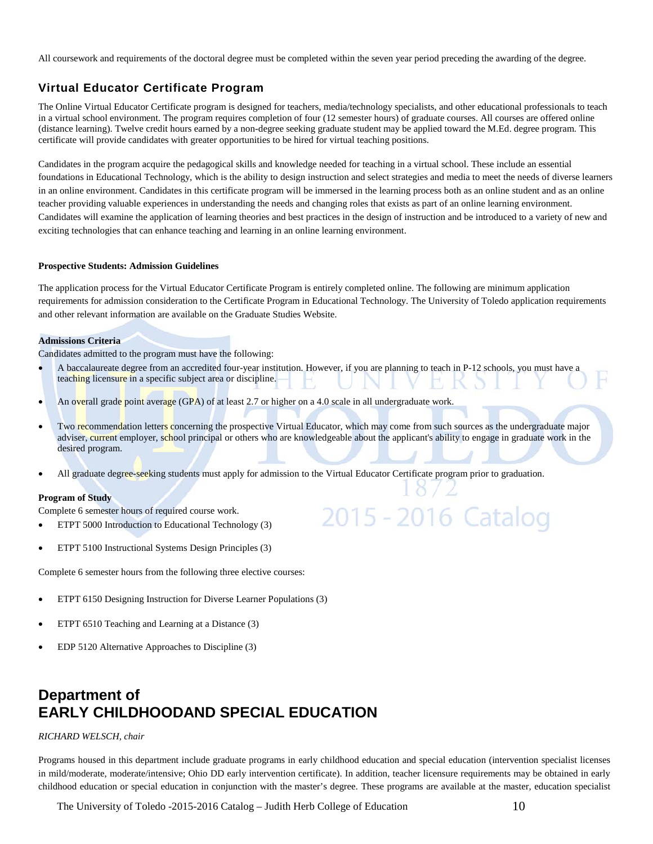All coursework and requirements of the doctoral degree must be completed within the seven year period preceding the awarding of the degree.

## **Virtual Educator Certificate Program**

The Online Virtual Educator Certificate program is designed for teachers, media/technology specialists, and other educational professionals to teach in a virtual school environment. The program requires completion of four (12 semester hours) of graduate courses. All courses are offered online (distance learning). Twelve credit hours earned by a non-degree seeking graduate student may be applied toward the M.Ed. degree program. This certificate will provide candidates with greater opportunities to be hired for virtual teaching positions.

Candidates in the program acquire the pedagogical skills and knowledge needed for teaching in a virtual school. These include an essential foundations in Educational Technology, which is the ability to design instruction and select strategies and media to meet the needs of diverse learners in an online environment. Candidates in this certificate program will be immersed in the learning process both as an online student and as an online teacher providing valuable experiences in understanding the needs and changing roles that exists as part of an online learning environment. Candidates will examine the application of learning theories and best practices in the design of instruction and be introduced to a variety of new and exciting technologies that can enhance teaching and learning in an online learning environment.

#### **Prospective Students: Admission Guidelines**

The application process for the Virtual Educator Certificate Program is entirely completed online. The following are minimum application requirements for admission consideration to the Certificate Program in Educational Technology. The University of Toledo application requirements and other relevant information are available on the Graduate Studies Website.

#### **Admissions Criteria**

Candidates admitted to the program must have the following:

- A baccalaureate degree from an accredited four-year institution. However, if you are planning to teach in P-12 schools, you must have a teaching licensure in a specific subject area or discipline.
- An overall grade point average (GPA) of at least 2.7 or higher on a 4.0 scale in all undergraduate work.
- Two recommendation letters concerning the prospective Virtual Educator, which may come from such sources as the undergraduate major adviser, current employer, school principal or others who are knowledgeable about the applicant's ability to engage in graduate work in the desired program.

2015 - 2016 Catalog

All graduate degree-seeking students must apply for admission to the Virtual Educator Certificate program prior to graduation.

#### **Program of Study**

Complete 6 semester hours of required course work.

- ETPT 5000 Introduction to Educational Technology (3)
- ETPT 5100 Instructional Systems Design Principles (3)

Complete 6 semester hours from the following three elective courses:

- ETPT 6150 Designing Instruction for Diverse Learner Populations (3)
- ETPT 6510 Teaching and Learning at a Distance (3)
- EDP 5120 Alternative Approaches to Discipline (3)

## **Department of EARLY CHILDHOODAND SPECIAL EDUCATION**

#### *RICHARD WELSCH, chair*

Programs housed in this department include graduate programs in early childhood education and special education (intervention specialist licenses in mild/moderate, moderate/intensive; Ohio DD early intervention certificate). In addition, teacher licensure requirements may be obtained in early childhood education or special education in conjunction with the master's degree. These programs are available at the master, education specialist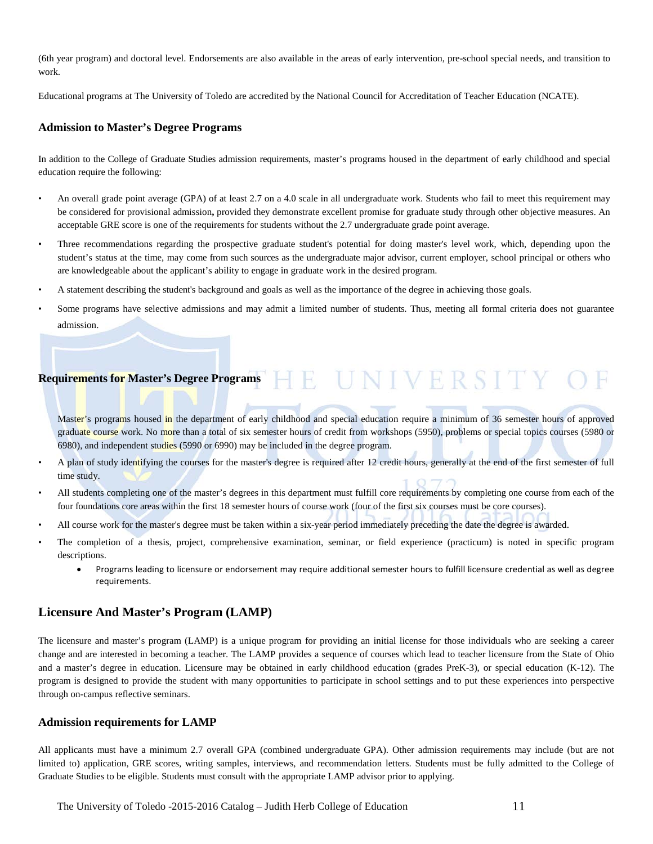(6th year program) and doctoral level. Endorsements are also available in the areas of early intervention, pre-school special needs, and transition to work.

Educational programs at The University of Toledo are accredited by the National Council for Accreditation of Teacher Education (NCATE).

#### **Admission to Master's Degree Programs**

In addition to the College of Graduate Studies admission requirements, master's programs housed in the department of early childhood and special education require the following:

- An overall grade point average (GPA) of at least 2.7 on a 4.0 scale in all undergraduate work. Students who fail to meet this requirement may be considered for provisional admission**,** provided they demonstrate excellent promise for graduate study through other objective measures. An acceptable GRE score is one of the requirements for students without the 2.7 undergraduate grade point average.
- Three recommendations regarding the prospective graduate student's potential for doing master's level work, which, depending upon the student's status at the time, may come from such sources as the undergraduate major advisor, current employer, school principal or others who are knowledgeable about the applicant's ability to engage in graduate work in the desired program.
- A statement describing the student's background and goals as well as the importance of the degree in achieving those goals.
- Some programs have selective admissions and may admit a limited number of students. Thus, meeting all formal criteria does not guarantee admission.

## **Requirements for Master's Degree Programs**

Master's programs housed in the department of early childhood and special education require a minimum of 36 semester hours of approved graduate course work. No more than a total of six semester hours of credit from workshops (5950), problems or special topics courses (5980 or 6980), and independent studies (5990 or 6990) may be included in the degree program.

- A plan of study identifying the courses for the master's degree is required after 12 credit hours, generally at the end of the first semester of full time study.
- All students completing one of the master's degrees in this department must fulfill core requirements by completing one course from each of the four foundations core areas within the first 18 semester hours of course work (four of the first six courses must be core courses).
- All course work for the master's degree must be taken within a six-year period immediately preceding the date the degree is awarded.
- The completion of a thesis, project, comprehensive examination, seminar, or field experience (practicum) is noted in specific program descriptions.
	- Programs leading to licensure or endorsement may require additional semester hours to fulfill licensure credential as well as degree requirements.

## **Licensure And Master's Program (LAMP)**

The licensure and master's program (LAMP) is a unique program for providing an initial license for those individuals who are seeking a career change and are interested in becoming a teacher. The LAMP provides a sequence of courses which lead to teacher licensure from the State of Ohio and a master's degree in education. Licensure may be obtained in early childhood education (grades PreK-3), or special education (K-12). The program is designed to provide the student with many opportunities to participate in school settings and to put these experiences into perspective through on-campus reflective seminars.

#### **Admission requirements for LAMP**

All applicants must have a minimum 2.7 overall GPA (combined undergraduate GPA). Other admission requirements may include (but are not limited to) application, GRE scores, writing samples, interviews, and recommendation letters. Students must be fully admitted to the College of Graduate Studies to be eligible. Students must consult with the appropriate LAMP advisor prior to applying.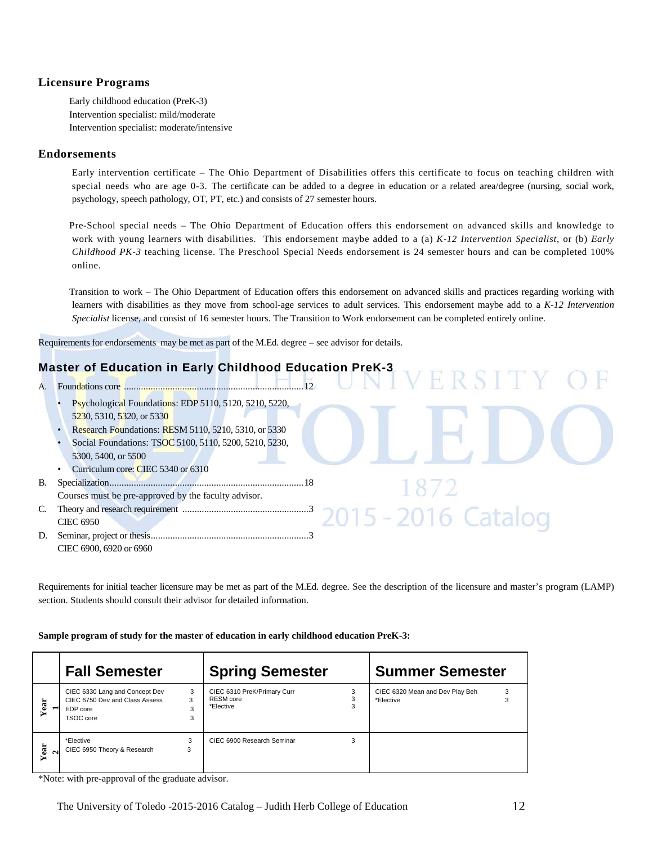### **Licensure Programs**

Early childhood education (PreK-3) Intervention specialist: mild/moderate Intervention specialist: moderate/intensive

#### **Endorsements**

Early intervention certificate – The Ohio Department of Disabilities offers this certificate to focus on teaching children with special needs who are age 0-3. The certificate can be added to a degree in education or a related area/degree (nursing, social work, psychology, speech pathology, OT, PT, etc.) and consists of 27 semester hours.

Pre-School special needs – The Ohio Department of Education offers this endorsement on advanced skills and knowledge to work with young learners with disabilities. This endorsement maybe added to a (a) *K-12 Intervention Specialist*, or (b) *Early Childhood PK-3* teaching license. The Preschool Special Needs endorsement is 24 semester hours and can be completed 100% online.

Transition to work – The Ohio Department of Education offers this endorsement on advanced skills and practices regarding working with learners with disabilities as they move from school-age services to adult services. This endorsement maybe add to a *K-12 Intervention Specialist* license, and consist of 16 semester hours. The Transition to Work endorsement can be completed entirely online.

Requirements for endorsements may be met as part of the M.Ed. degree – see advisor for details.

## **Master of Education in Early Childhood Education PreK-3**

A. Foundations core ..........................................................................12 • Psychological Foundations: EDP 5110, 5120, 5210, 5220, 5230, 5310, 5320, or 5330

- Research Foundations: RESM 5110, 5210, 5310, or 5330
- Social Foundations: TSOC 5100, 5110, 5200, 5210, 5230, 5300, 5400, or 5500
- Curriculum core: CIEC 5340 or 6310
- B. Specialization................................................................................18
- Courses must be pre-approved by the faculty advisor*.* C. Theory and research requirement ....................................................3
- CIEC 6950 D. Seminar, project or thesis.................................................................3 CIEC 6900, 6920 or 6960

Requirements for initial teacher licensure may be met as part of the M.Ed. degree. See the description of the licensure and master's program (LAMP) section. Students should consult their advisor for detailed information.

#### **Sample program of study for the master of education in early childhood education PreK-3:**

|                              | <b>Fall Semester</b>                                                                      |                  | <b>Spring Semester</b>                                       |   | <b>Summer Semester</b>                       |        |
|------------------------------|-------------------------------------------------------------------------------------------|------------------|--------------------------------------------------------------|---|----------------------------------------------|--------|
| Year                         | CIEC 6330 Lang and Concept Dev<br>CIEC 6750 Dev and Class Assess<br>EDP core<br>TSOC core | 3<br>3<br>3<br>3 | CIEC 6310 PreK/Primary Curr<br><b>RESM</b> core<br>*Elective |   | CIEC 6320 Mean and Dev Play Beh<br>*Elective | 3<br>3 |
| Year<br>$\mathbf{\tilde{c}}$ | *Elective<br>CIEC 6950 Theory & Research                                                  | 3<br>3           | CIEC 6900 Research Seminar                                   | 3 |                                              |        |

<sup>\*</sup>Note: with pre-approval of the graduate advisor.

-2016 Catalog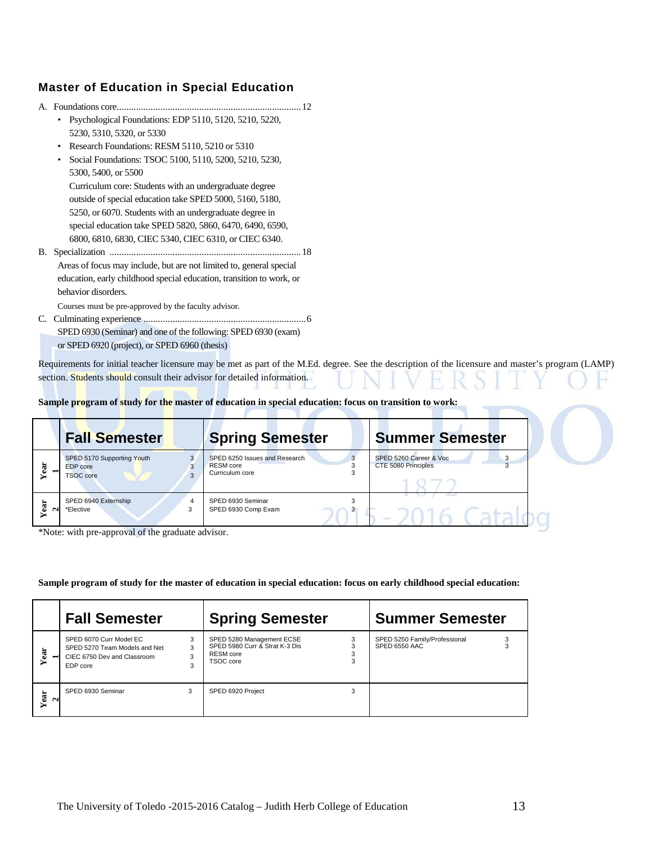## **Master of Education in Special Education**

|    | Psychological Foundations: EDP 5110, 5120, 5210, 5220,<br>$\bullet$  |
|----|----------------------------------------------------------------------|
|    | 5230, 5310, 5320, or 5330                                            |
|    | Research Foundations: RESM 5110, 5210 or 5310<br>$\bullet$           |
|    | Social Foundations: TSOC 5100, 5110, 5200, 5210, 5230,<br>$\bullet$  |
|    | 5300, 5400, or 5500                                                  |
|    | Curriculum core: Students with an undergraduate degree               |
|    | outside of special education take SPED 5000, 5160, 5180,             |
|    | 5250, or 6070. Students with an undergraduate degree in              |
|    | special education take SPED 5820, 5860, 6470, 6490, 6590,            |
|    | 6800, 6810, 6830, CIEC 5340, CIEC 6310, or CIEC 6340.                |
| В. |                                                                      |
|    | Areas of focus may include, but are not limited to, general special  |
|    | education, early childhood special education, transition to work, or |
|    | behavior disorders.                                                  |
|    | Courses must be pre-approved by the faculty advisor.                 |
| C. |                                                                      |

SPED 6930 (Seminar) and one of the following: SPED 6930 (exam) or SPED 6920 (project), or SPED 6960 (thesis)

Requirements for initial teacher licensure may be met as part of the M.Ed. degree. See the description of the licensure and master's program (LAMP) section. Students should consult their advisor for detailed information.

**Sample program of study for the master of education in special education: focus on transition to work:**

|         | <b>Fall Semester</b>                                       |   | <b>Spring Semester</b>                                        | <b>Summer Semester</b>                        |
|---------|------------------------------------------------------------|---|---------------------------------------------------------------|-----------------------------------------------|
| نه      | SPED 5170 Supporting Youth<br>EDP core<br><b>TSOC</b> core | 3 | SPED 6250 Issues and Research<br>RESM core<br>Curriculum core | SPED 5260 Career & Voc<br>CTE 5080 Principles |
| ی<br>لا | SPED 6940 Externship<br>*Elective                          | 3 | SPED 6930 Seminar<br>SPED 6930 Comp Exam<br>3                 | $\frac{1}{2}$                                 |

\*Note: with pre-approval of the graduate advisor.

**Sample program of study for the master of education in special education: focus on early childhood special education:**

|                | <b>Fall Semester</b>                                                                                |                  | <b>Spring Semester</b><br><b>Summer Semester</b>                                             |   |                                                |  |
|----------------|-----------------------------------------------------------------------------------------------------|------------------|----------------------------------------------------------------------------------------------|---|------------------------------------------------|--|
| Year           | SPED 6070 Curr Model EC<br>SPED 5270 Team Models and Net<br>CIEC 6750 Dev and Classroom<br>EDP core | 3<br>3<br>3<br>3 | SPED 5280 Management ECSE<br>SPED 5980 Curr & Strat K-3 Dis<br><b>RESM</b> core<br>TSOC core |   | SPED 5250 Family/Professional<br>SPED 6550 AAC |  |
| Year<br>$\sim$ | SPED 6930 Seminar                                                                                   | 3                | SPED 6920 Project                                                                            | 3 |                                                |  |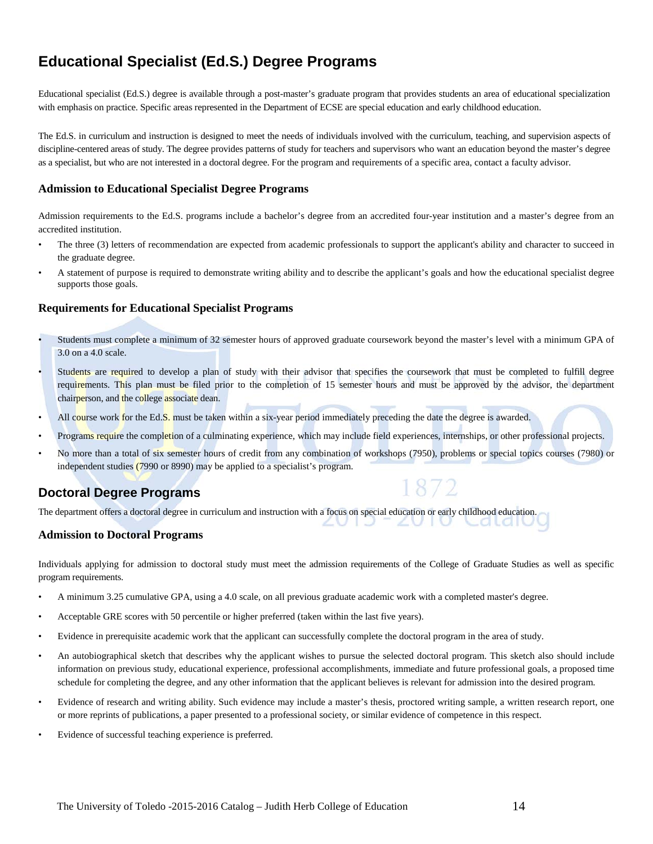## **Educational Specialist (Ed.S.) Degree Programs**

Educational specialist (Ed.S.) degree is available through a post-master's graduate program that provides students an area of educational specialization with emphasis on practice. Specific areas represented in the Department of ECSE are special education and early childhood education.

The Ed.S. in curriculum and instruction is designed to meet the needs of individuals involved with the curriculum, teaching, and supervision aspects of discipline-centered areas of study. The degree provides patterns of study for teachers and supervisors who want an education beyond the master's degree as a specialist, but who are not interested in a doctoral degree. For the program and requirements of a specific area, contact a faculty advisor.

### **Admission to Educational Specialist Degree Programs**

Admission requirements to the Ed.S. programs include a bachelor's degree from an accredited four-year institution and a master's degree from an accredited institution.

- The three (3) letters of recommendation are expected from academic professionals to support the applicant's ability and character to succeed in the graduate degree.
- A statement of purpose is required to demonstrate writing ability and to describe the applicant's goals and how the educational specialist degree supports those goals.

### **Requirements for Educational Specialist Programs**

- Students must complete a minimum of 32 semester hours of approved graduate coursework beyond the master's level with a minimum GPA of 3.0 on a 4.0 scale.
- Students are required to develop a plan of study with their advisor that specifies the coursework that must be completed to fulfill degree requirements. This plan must be filed prior to the completion of 15 semester hours and must be approved by the advisor, the department chairperson, and the college associate dean.
- All course work for the Ed.S. must be taken within a six-year period immediately preceding the date the degree is awarded.
- Programs require the completion of a culminating experience, which may include field experiences, internships, or other professional projects.
- No more than a total of six semester hours of credit from any combination of workshops (7950), problems or special topics courses (7980) or independent studies (7990 or 8990) may be applied to a specialist's program.

1872

## **Doctoral Degree Programs**

The department offers a doctoral degree in curriculum and instruction with a focus on special education or early childhood education.

#### **Admission to Doctoral Programs**

Individuals applying for admission to doctoral study must meet the admission requirements of the College of Graduate Studies as well as specific program requirements.

- A minimum 3.25 cumulative GPA, using a 4.0 scale, on all previous graduate academic work with a completed master's degree.
- Acceptable GRE scores with 50 percentile or higher preferred (taken within the last five years).
- Evidence in prerequisite academic work that the applicant can successfully complete the doctoral program in the area of study.
- An autobiographical sketch that describes why the applicant wishes to pursue the selected doctoral program. This sketch also should include information on previous study, educational experience, professional accomplishments, immediate and future professional goals, a proposed time schedule for completing the degree, and any other information that the applicant believes is relevant for admission into the desired program.
- Evidence of research and writing ability. Such evidence may include a master's thesis, proctored writing sample, a written research report, one or more reprints of publications, a paper presented to a professional society, or similar evidence of competence in this respect.
- Evidence of successful teaching experience is preferred.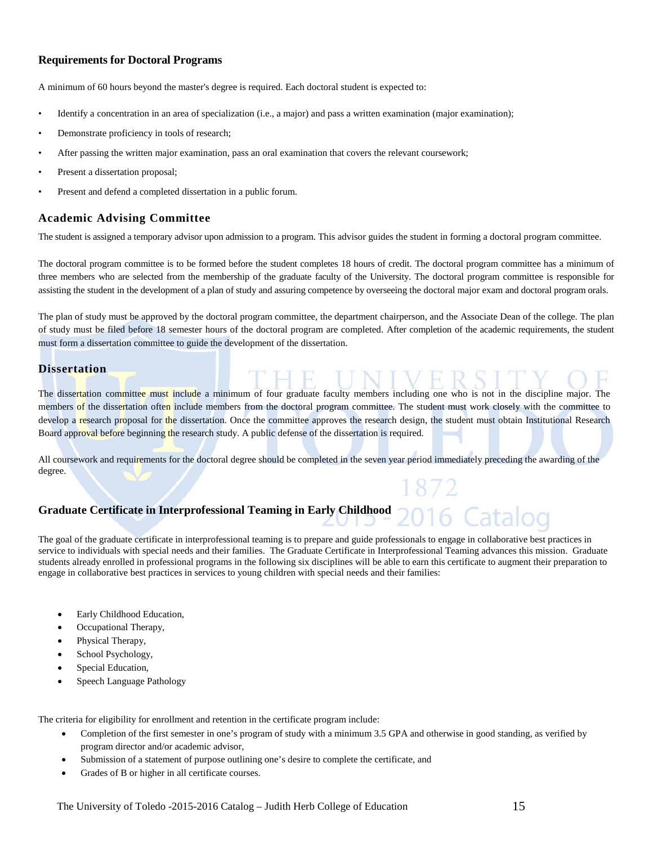### **Requirements for Doctoral Programs**

A minimum of 60 hours beyond the master's degree is required. Each doctoral student is expected to:

- Identify a concentration in an area of specialization (i.e., a major) and pass a written examination (major examination);
- Demonstrate proficiency in tools of research;
- After passing the written major examination, pass an oral examination that covers the relevant coursework;
- Present a dissertation proposal;
- Present and defend a completed dissertation in a public forum.

### **Academic Advising Committee**

The student is assigned a temporary advisor upon admission to a program. This advisor guides the student in forming a doctoral program committee.

The doctoral program committee is to be formed before the student completes 18 hours of credit. The doctoral program committee has a minimum of three members who are selected from the membership of the graduate faculty of the University. The doctoral program committee is responsible for assisting the student in the development of a plan of study and assuring competence by overseeing the doctoral major exam and doctoral program orals.

The plan of study must be approved by the doctoral program committee, the department chairperson, and the Associate Dean of the college. The plan of study must be filed before 18 semester hours of the doctoral program are completed. After completion of the academic requirements, the student must form a dissertation committee to guide the development of the dissertation.

## **Dissertation**

The dissertation committee must include a minimum of four graduate faculty members including one who is not in the discipline major. The members of the dissertation often include members from the doctoral program committee. The student must work closely with the committee to develop a research proposal for the dissertation. Once the committee approves the research design, the student must obtain Institutional Research Board approval before beginning the research study. A public defense of the dissertation is required.

All coursework and requirements for the doctoral degree should be completed in the seven year period immediately preceding the awarding of the degree.

## **Graduate Certificate in Interprofessional Teaming in Early Childhood**

The goal of the graduate certificate in interprofessional teaming is to prepare and guide professionals to engage in collaborative best practices in service to individuals with special needs and their families. The Graduate Certificate in Interprofessional Teaming advances this mission. Graduate students already enrolled in professional programs in the following six disciplines will be able to earn this certificate to augment their preparation to engage in collaborative best practices in services to young children with special needs and their families:

- Early Childhood Education,
- Occupational Therapy,
- Physical Therapy,
- School Psychology,
- Special Education,
- Speech Language Pathology

The criteria for eligibility for enrollment and retention in the certificate program include:

- Completion of the first semester in one's program of study with a minimum 3.5 GPA and otherwise in good standing, as verified by program director and/or academic advisor,
- Submission of a statement of purpose outlining one's desire to complete the certificate, and
- Grades of B or higher in all certificate courses.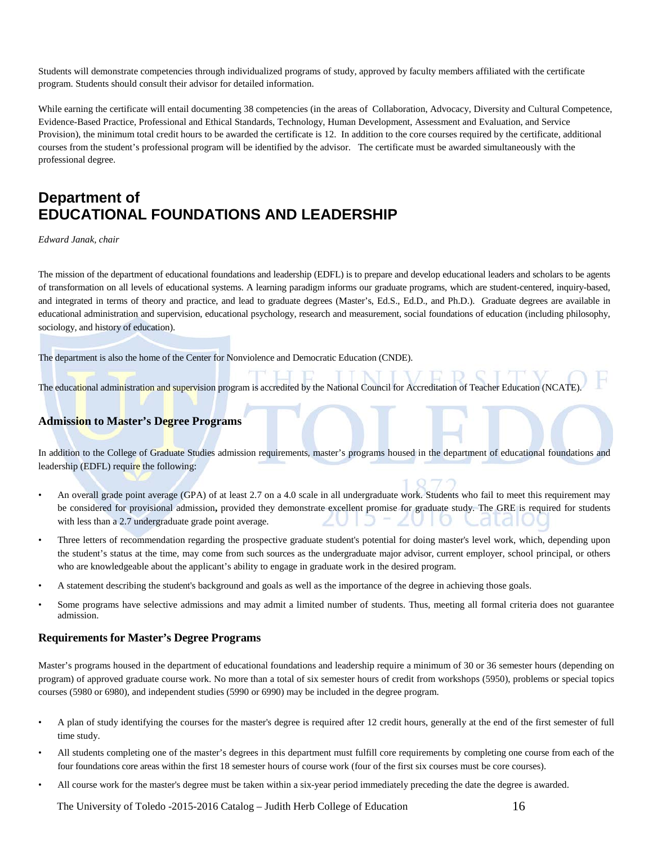Students will demonstrate competencies through individualized programs of study, approved by faculty members affiliated with the certificate program. Students should consult their advisor for detailed information.

While earning the certificate will entail documenting 38 competencies (in the areas of Collaboration, Advocacy, Diversity and Cultural Competence, Evidence-Based Practice, Professional and Ethical Standards, Technology, Human Development, Assessment and Evaluation, and Service Provision), the minimum total credit hours to be awarded the certificate is 12. In addition to the core courses required by the certificate, additional courses from the student's professional program will be identified by the advisor. The certificate must be awarded simultaneously with the professional degree.

## **Department of EDUCATIONAL FOUNDATIONS AND LEADERSHIP**

*Edward Janak, chair*

The mission of the department of educational foundations and leadership (EDFL) is to prepare and develop educational leaders and scholars to be agents of transformation on all levels of educational systems. A learning paradigm informs our graduate programs, which are student-centered, inquiry-based, and integrated in terms of theory and practice, and lead to graduate degrees (Master's, Ed.S., Ed.D., and Ph.D.). Graduate degrees are available in educational administration and supervision, educational psychology, research and measurement, social foundations of education (including philosophy, sociology, and history of education).

The department is also the home of the Center for Nonviolence and Democratic Education (CNDE).

The educational administration and supervision program is accredited by the National Council for Accreditation of Teacher Education (NCATE).

## **Admission to Master's Degree Programs**

In addition to the College of Graduate Studies admission requirements, master's programs housed in the department of educational foundations and leadership (EDFL) require the following:

- An overall grade point average (GPA) of at least 2.7 on a 4.0 scale in all undergraduate work. Students who fail to meet this requirement may be considered for provisional admission**,** provided they demonstrate excellent promise for graduate study. The GRE is required for students with less than a 2.7 undergraduate grade point average. െറി
- Three letters of recommendation regarding the prospective graduate student's potential for doing master's level work, which, depending upon the student's status at the time, may come from such sources as the undergraduate major advisor, current employer, school principal, or others who are knowledgeable about the applicant's ability to engage in graduate work in the desired program.
- A statement describing the student's background and goals as well as the importance of the degree in achieving those goals.
- Some programs have selective admissions and may admit a limited number of students. Thus, meeting all formal criteria does not guarantee admission.

#### **Requirements for Master's Degree Programs**

Master's programs housed in the department of educational foundations and leadership require a minimum of 30 or 36 semester hours (depending on program) of approved graduate course work. No more than a total of six semester hours of credit from workshops (5950), problems or special topics courses (5980 or 6980), and independent studies (5990 or 6990) may be included in the degree program.

- A plan of study identifying the courses for the master's degree is required after 12 credit hours, generally at the end of the first semester of full time study.
- All students completing one of the master's degrees in this department must fulfill core requirements by completing one course from each of the four foundations core areas within the first 18 semester hours of course work (four of the first six courses must be core courses).
- All course work for the master's degree must be taken within a six-year period immediately preceding the date the degree is awarded.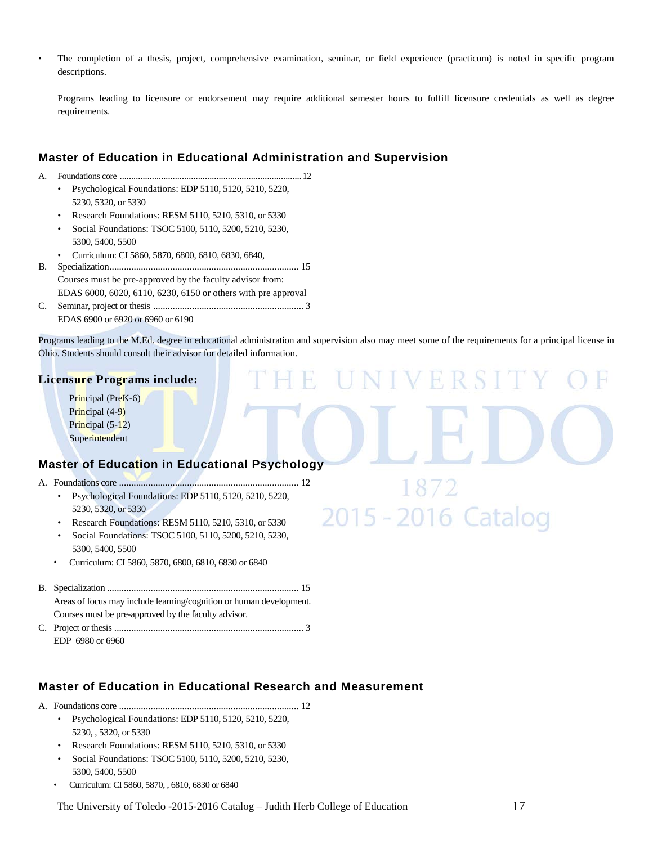• The completion of a thesis, project, comprehensive examination, seminar, or field experience (practicum) is noted in specific program descriptions.

Programs leading to licensure or endorsement may require additional semester hours to fulfill licensure credentials as well as degree requirements.

## **Master of Education in Educational Administration and Supervision**

A. Foundations core ...............................................................................12

- Psychological Foundations: EDP 5110, 5120, 5210, 5220, 5230, 5320, or 5330
- Research Foundations: RESM 5110, 5210, 5310, or 5330
- Social Foundations: TSOC 5100, 5110, 5200, 5210, 5230, 5300, 5400, 5500
- Curriculum: CI 5860, 5870, 6800, 6810, 6830, 6840,
- B. Specialization.............................................................................. 15 Courses must be pre-approved by the faculty advisor from: EDAS 6000, 6020, 6110, 6230, 6150 or others with pre approval
- C. Seminar, project or thesis .............................................................. 3 EDAS 6900 or 6920 or 6960 or 6190

Programs leading to the M.Ed. degree in educational administration and supervision also may meet some of the requirements for a principal license in Ohio. Students should consult their advisor for detailed information.

H.

2015 - 2016 Catalog

R

#### **Licensure Programs include:**

Principal (PreK-6) Principal (4-9) Principal (5-12) **Superintendent** 

## **Master of Education in Educational Psychology**

- A. Foundations core .......................................................................... 12
	- Psychological Foundations: EDP 5110, 5120, 5210, 5220, 5230, 5320, or 5330
	- Research Foundations: RESM 5110, 5210, 5310, or 5330
	- Social Foundations: TSOC 5100, 5110, 5200, 5210, 5230, 5300, 5400, 5500
	- Curriculum: CI 5860, 5870, 6800, 6810, 6830 or 6840
- B. Specialization ............................................................................... 15 Areas of focus may include learning/cognition or human development. Courses must be pre-approved by the faculty advisor.
- C. Project or thesis .............................................................................. 3 EDP 6980 or 6960

## **Master of Education in Educational Research and Measurement**

A. Foundations core .......................................................................... 12

- Psychological Foundations: EDP 5110, 5120, 5210, 5220, 5230, , 5320, or 5330
- Research Foundations: RESM 5110, 5210, 5310, or 5330
- Social Foundations: TSOC 5100, 5110, 5200, 5210, 5230, 5300, 5400, 5500
- Curriculum: CI 5860, 5870, , 6810, 6830 or 6840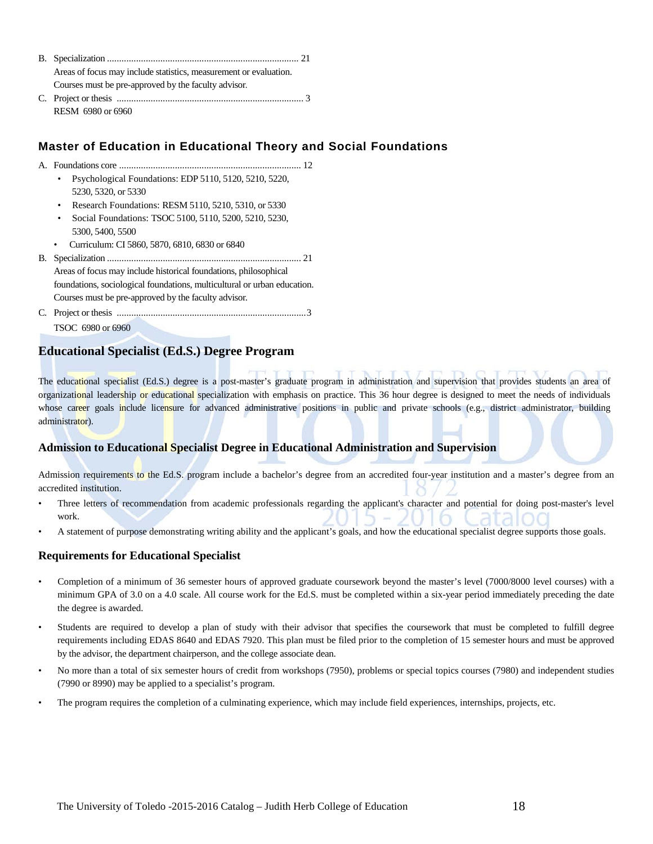| Areas of focus may include statistics, measurement or evaluation. |  |
|-------------------------------------------------------------------|--|
| Courses must be pre-approved by the faculty advisor.              |  |
|                                                                   |  |
| RESM 6980 or 6960                                                 |  |

## **Master of Education in Educational Theory and Social Foundations**

- A. Foundations core ........................................................................... 12 • Psychological Foundations: EDP 5110, 5120, 5210, 5220, 5230, 5320, or 5330
	- Research Foundations: RESM 5110, 5210, 5310, or 5330
	- Social Foundations: TSOC 5100, 5110, 5200, 5210, 5230, 5300, 5400, 5500
- Curriculum: CI 5860, 5870, 6810, 6830 or 6840

B. Specialization ................................................................................ 21 Areas of focus may include historical foundations, philosophical foundations, sociological foundations, multicultural or urban education. Courses must be pre-approved by the faculty advisor*.*

C. Project or thesis ..............................................................................3 TSOC 6980 or 6960

## **Educational Specialist (Ed.S.) Degree Program**

The educational specialist (Ed.S.) degree is a post-master's graduate program in administration and supervision that provides students an area of organizational leadership or educational specialization with emphasis on practice. This 36 hour degree is designed to meet the needs of individuals whose career goals include licensure for advanced administrative positions in public and private schools (e.g., district administrator, building administrator).

## **Admission to Educational Specialist Degree in Educational Administration and Supervision**

Admission requirements to the Ed.S. program include a bachelor's degree from an accredited four-year institution and a master's degree from an accredited institution.

- Three letters of recommendation from academic professionals regarding the applicant's character and potential for doing post-master's level work.
- A statement of purpose demonstrating writing ability and the applicant's goals, and how the educational specialist degree supports those goals.

#### **Requirements for Educational Specialist**

- Completion of a minimum of 36 semester hours of approved graduate coursework beyond the master's level (7000/8000 level courses) with a minimum GPA of 3.0 on a 4.0 scale. All course work for the Ed.S. must be completed within a six-year period immediately preceding the date the degree is awarded.
- Students are required to develop a plan of study with their advisor that specifies the coursework that must be completed to fulfill degree requirements including EDAS 8640 and EDAS 7920. This plan must be filed prior to the completion of 15 semester hours and must be approved by the advisor, the department chairperson, and the college associate dean.
- No more than a total of six semester hours of credit from workshops (7950), problems or special topics courses (7980) and independent studies (7990 or 8990) may be applied to a specialist's program.
- The program requires the completion of a culminating experience, which may include field experiences, internships, projects, etc.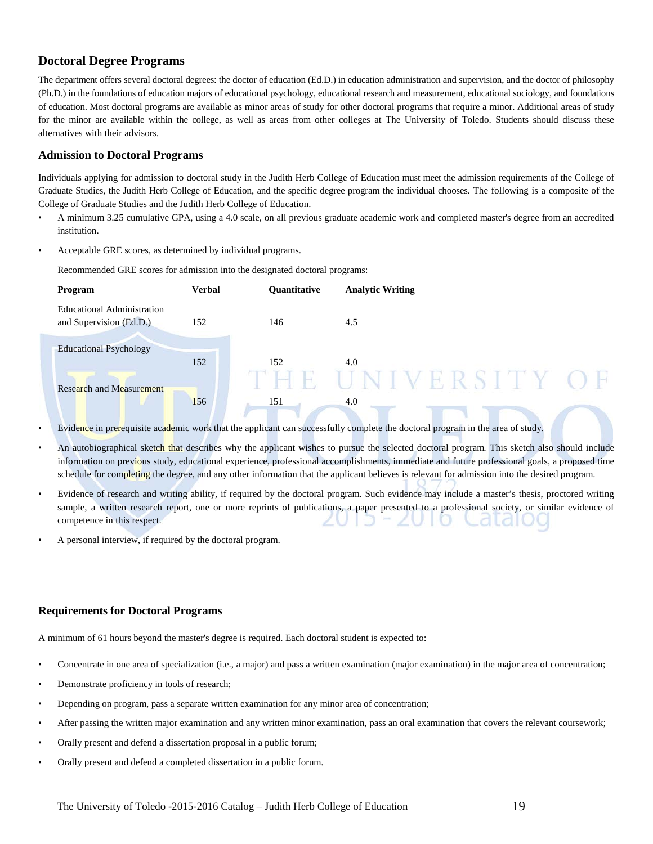## **Doctoral Degree Programs**

The department offers several doctoral degrees: the doctor of education (Ed.D.) in education administration and supervision, and the doctor of philosophy (Ph.D.) in the foundations of education majors of educational psychology, educational research and measurement, educational sociology, and foundations of education. Most doctoral programs are available as minor areas of study for other doctoral programs that require a minor. Additional areas of study for the minor are available within the college, as well as areas from other colleges at The University of Toledo. Students should discuss these alternatives with their advisors.

### **Admission to Doctoral Programs**

Individuals applying for admission to doctoral study in the Judith Herb College of Education must meet the admission requirements of the College of Graduate Studies, the Judith Herb College of Education, and the specific degree program the individual chooses. The following is a composite of the College of Graduate Studies and the Judith Herb College of Education.

- A minimum 3.25 cumulative GPA, using a 4.0 scale, on all previous graduate academic work and completed master's degree from an accredited institution.
- Acceptable GRE scores, as determined by individual programs.

Recommended GRE scores for admission into the designated doctoral programs:



- Evidence in prerequisite academic work that the applicant can successfully complete the doctoral program in the area of study.
- An autobiographical sketch that describes why the applicant wishes to pursue the selected doctoral program*.* This sketch also should include information on previous study, educational experience, professional accomplishments, immediate and future professional goals, a proposed time schedule for completing the degree, and any other information that the applicant believes is relevant for admission into the desired program.
- Evidence of research and writing ability, if required by the doctoral program. Such evidence may include a master's thesis, proctored writing sample, a written research report, one or more reprints of publications, a paper presented to a professional society, or similar evidence of competence in this respect.
- A personal interview, if required by the doctoral program.

## **Requirements for Doctoral Programs**

A minimum of 61 hours beyond the master's degree is required. Each doctoral student is expected to:

- Concentrate in one area of specialization (i.e., a major) and pass a written examination (major examination) in the major area of concentration;
- Demonstrate proficiency in tools of research;
- Depending on program, pass a separate written examination for any minor area of concentration;
- After passing the written major examination and any written minor examination, pass an oral examination that covers the relevant coursework;
- Orally present and defend a dissertation proposal in a public forum;
- Orally present and defend a completed dissertation in a public forum.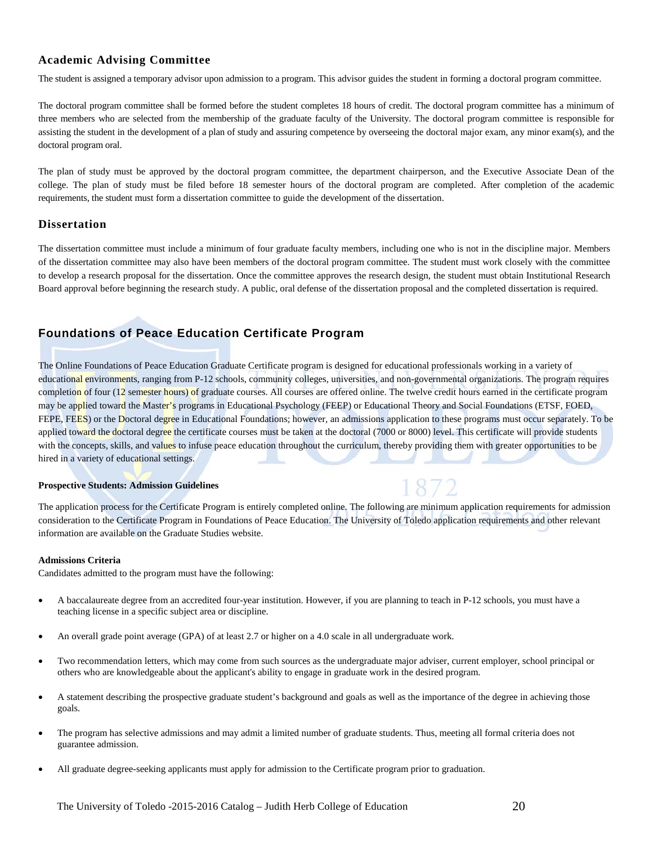## **Academic Advising Committee**

The student is assigned a temporary advisor upon admission to a program. This advisor guides the student in forming a doctoral program committee.

The doctoral program committee shall be formed before the student completes 18 hours of credit. The doctoral program committee has a minimum of three members who are selected from the membership of the graduate faculty of the University. The doctoral program committee is responsible for assisting the student in the development of a plan of study and assuring competence by overseeing the doctoral major exam, any minor exam(s), and the doctoral program oral.

The plan of study must be approved by the doctoral program committee, the department chairperson, and the Executive Associate Dean of the college. The plan of study must be filed before 18 semester hours of the doctoral program are completed. After completion of the academic requirements, the student must form a dissertation committee to guide the development of the dissertation.

#### **Dissertation**

The dissertation committee must include a minimum of four graduate faculty members, including one who is not in the discipline major. Members of the dissertation committee may also have been members of the doctoral program committee. The student must work closely with the committee to develop a research proposal for the dissertation. Once the committee approves the research design, the student must obtain Institutional Research Board approval before beginning the research study. A public, oral defense of the dissertation proposal and the completed dissertation is required.

## **Foundations of Peace Education Certificate Program**

The Online Foundations of Peace Education Graduate Certificate program is designed for educational professionals working in a variety of educational environments, ranging from P-12 schools, community colleges, universities, and non-governmental organizations. The program requires completion of four (12 semester hours) of graduate courses. All courses are offered online. The twelve credit hours earned in the certificate program may be applied toward the Master's programs in Educational Psychology (FEEP) or Educational Theory and Social Foundations (ETSF, FOED, FEPE, FEES) or the Doctoral degree in Educational Foundations; however, an admissions application to these programs must occur separately. To be applied toward the doctoral degree the certificate courses must be taken at the doctoral (7000 or 8000) level. This certificate will provide students with the concepts, skills, and values to infuse peace education throughout the curriculum, thereby providing them with greater opportunities to be hired in a variety of educational settings.

#### **Prospective Students: Admission Guidelines**

The application process for the Certificate Program is entirely completed online. The following are minimum application requirements for admission consideration to the Certificate Program in Foundations of Peace Education. The University of Toledo application requirements and other relevant information are available on the Graduate Studies website.

1872

#### **Admissions Criteria**

Candidates admitted to the program must have the following:

- A baccalaureate degree from an accredited four-year institution. However, if you are planning to teach in P-12 schools, you must have a teaching license in a specific subject area or discipline.
- An overall grade point average (GPA) of at least 2.7 or higher on a 4.0 scale in all undergraduate work.
- Two recommendation letters, which may come from such sources as the undergraduate major adviser, current employer, school principal or others who are knowledgeable about the applicant's ability to engage in graduate work in the desired program.
- A statement describing the prospective graduate student's background and goals as well as the importance of the degree in achieving those goals.
- The program has selective admissions and may admit a limited number of graduate students. Thus, meeting all formal criteria does not guarantee admission.
- All graduate degree-seeking applicants must apply for admission to the Certificate program prior to graduation.